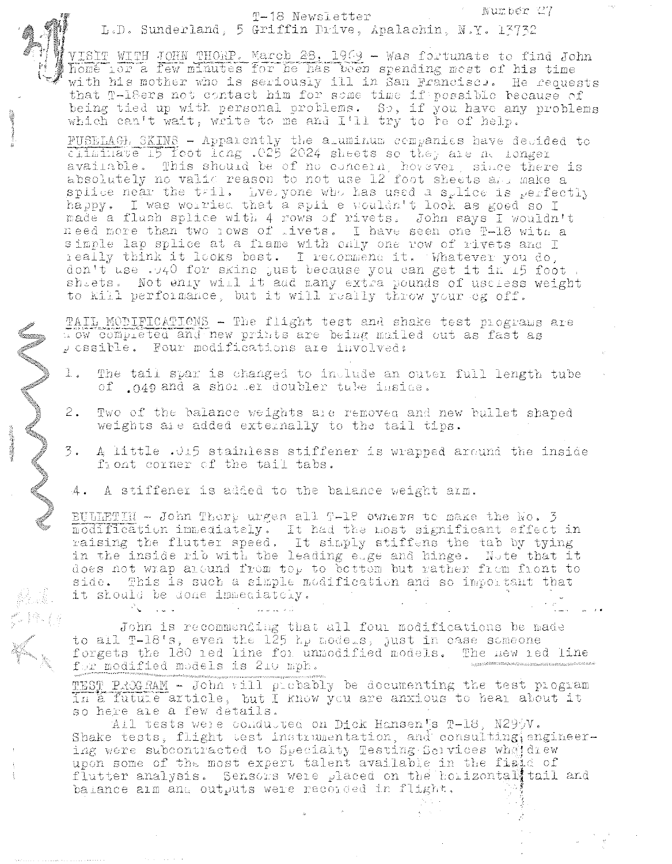Number 27 T-18 Newsletter L.D. Sunderland, 5 Griffin Drive, Apalachin, N.Y. 13732

VISIT WITH JOHN THORP. March 28, 1969 - Was fortunate to find John home ior a few minutes for he has been spending most of his time with his mother who is seriously ill in San Francisco. He requests that T-leers not contact him for some time if possible because of<br>being tied up with personal problems. So, if you have any problems<br>which can't wait, write to me and I'll try to be of help.

PUSELAGE SKINS - Apparently the aluminum companies have devided to climinate 15 foot long .025 2024 sheets so they are no longer available. This should be of no concern, hovever, since there is absolutely no valid reason to not use 12 foot sheets and make a splice near the tail. Lyebyone who has used a splice is perfectly happy. I was worried that a splie wouldn't look as good so I made a flush splice with 4 rows of rivets. John says I wouldn't need more than two lows of livets. I have seen one T-18 with a simple lap splice at a frame with only one row of rivets and I really think it looks best. I recommend it. Whatever you do. don't use .040 for skins just because you can get it in 15 foot. sheets. Not enly will it and many extra pounds of uscless weight to kill performance, but it will really throw your eg off.

TAIL MODIFICATIONS - The flight test and shake test programs are Tow completed and new prints are being mailed out as fast as p cssible. Four modifications are involved:

- $\mathbf{1}$ . The tail spar is changed to include an outer full length tube of gag and a shorter doubler tuke inside.
- $2.$ Two of the balance weights are removed and new bullet shaped weights are added externally to the tail tips.
	- A little .015 stainless stiffener is wrapped around the inside front corner of the tail tabs.
- $-4.$ A stiffener is added to the balance weight arm.

BULLETIN - John Thorp urges all T-12 owners to make the No. 3 modification immediately. It had the most significant effect in raising the flutter speed. It simply stiffens the tab by tying in the inside rib with the leading e.ge and hinge. Note that it<br>does not wrap around from top to bottom but rather from front to side. This is such a simple modification and so important that it should be done immediately.

John is recommending that all four modifications be made to all  $T-18$ 's, even the  $125$   $h_p$  models, just in case someone forgets the 180 ied line for unmodified models. The new ied line for modified models is 210 mph.

TEST PROGRAM - John vill probably be documenting the test program in a futule article, but I know you are anxious to hear about it so here are a few details.

All tests were conducted on Dick Hansen s T-18, N299V. Shake tests, flight test instrumentation, and consulting engineering were subcontracted to Specialty Testing Services wheter upon some of the most expert talent available in the fight of flutter analysis. Sensors were placed on the horizontall tail and balance aim and outputs were recorded in flight.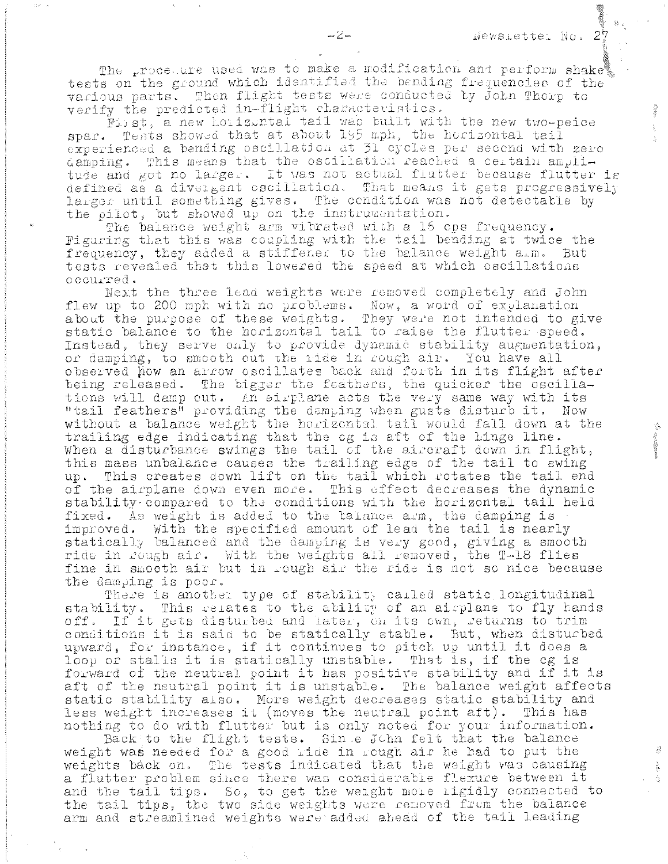$\mathcal{L}_{\Sigma}$ 

The procedure used was to make a modification and perform shake tests on the ground which identified the bending frequencies of the various parts. Then flight tests were conducted by John Thorp to verify the predicted in-flight characteristics.

First, a new horizontal tail was built with the new two-peice spar. Tests showed that at about 195 mph, the horizontal tail experienced a bending oscillation at 31 cycles per second with zero damping. This means that the oscillation reached a certain amplitude and got no larger. It was not actual flutter because flutter is defined as a divergent oscillation. That means it gets progressively larger until something gives. The condition was not detectable by the pilot, but showed up on the instrumentation.

The balance weight arm vibrated with a 15 cps frequency. Figuring that this was coupling with the tail bending at twice the frequency, they added a stiffener to the balance weight a.m. But tests revealed that this lowered the speed at which oscillations occurred.

Next the three lead weights were removed completely and John flew up to 200 mph with no problems. Now, a word of explanation about the purpose of these weights. They were not intended to give static balance to the horizontal tail to raise the flutter speed. Instead, they serve only to provide dynamic stability augmentation, or damping, to smooth out the ride in rough air. You have all observed how an arrow oscillates back and forth in its flight after being released. The bigger the feathers, the quicker the oscillations will damp out. An sirplane acts the very same way with its "tail feathers" providing the damping when gusts disturb it. Now without a balance weight the horizontal tail would fall down at the trailing edge indicating that the cg is aft of the hinge line. When a disturbance swings the tail of the aircraft down in flight, this mass unbalance causes the trailing edge of the tail to swing up. This creates down lift on the tail which rotates the tail end of the airplane down even more. This effect decreases the dynamic stability compared to the conditions with the horizontal tail held fixed. As weight is added to the talance arm, the damping is improved. With the specified amount of lead the tail is nearly statically balanced and the damping is very good, giving a smooth ride in rough air. With the weights all removed, the T-18 flies fine in smooth air but in rough air the ride is not so nice because the damping is poor.

There is another type of stability carled static longitudinal stability. This relates to the ability of an airplane to fly hands off. If it gets disturbed and later, on its own, returns to trim conditions it is said to be statically stable. But, when disturbed upward, for instance, if it continues to pitch up until it does a loop or stalls it is statically unstable. That is, if the cg is forward of the neutral point it has positive stability and if it is aft of the neutral point it is unstable. The balance weight affects static stability also. More weight decreases static stability and less weight increases it (moves the neutral point aft). This has nothing to do with flutter but is only noted for your information.

Back to the flight tests. Sin e John felt that the balance weight was needed for a good ride in rough air he had to put the weights back on. The tests indicated that the weight was causing a flutter problem since there was considerable flexure between it and the tail tips. So, to get the weight mole rigidly connected to the tail tips, the two side weights were removed from the balance arm and streamlined weights were added ahead of the tail leading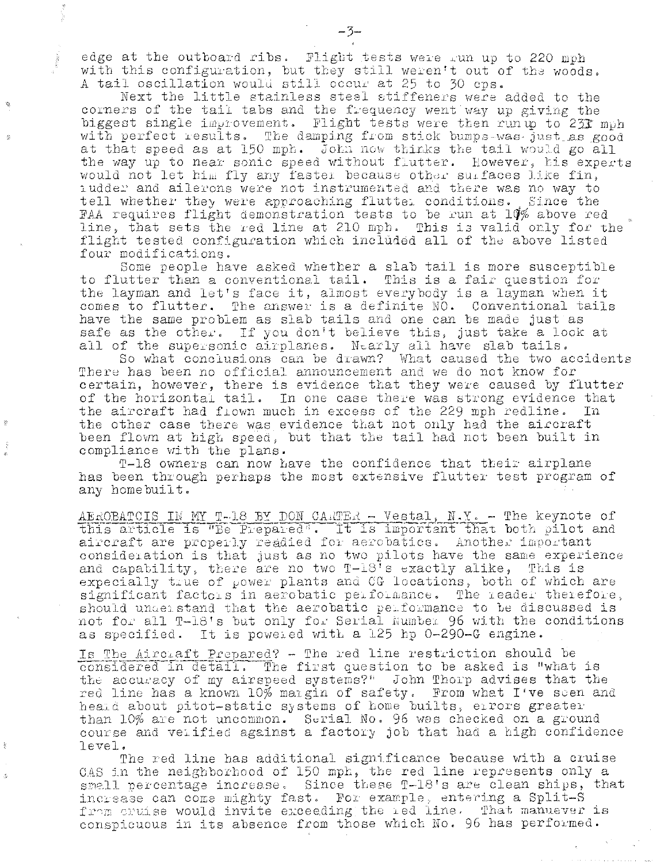edge at the outboard ribs. Flight tests were run up to 220 mph with this configuration, but they still weren't out of the woods. A tail oscillation would still occur at 25 to 30 cps.

Next the little stainless steel stiffeners were added to the corners of the tail tabs and the frequency went way up giving the biggest single improvement. Flight tests were then run up to 23T muh with perfect results. The damping from stick bumps-was just as good at that speed as at 150 mph. John now thinks the tail would go all the way up to near sonic speed without flutter. However, his experts would not let him fly any faster because other surfaces like fin, iudder and ailerons were not instrumented and there was no way to tell whether they were approaching flutter conditions. Since the FAA requires flight demonstration tests to be run at 10% above red line, that sets the red line at 210 mph. This is valid only for the flight tested configuration which included all of the above listed four modifications.

Some people have asked whether a slab tail is more susceptible to flutter than a conventional tail. This is a fair question for the layman and let's face it, almost everybody is a layman when it comes to flutter. The answer is a definite NO. Conventional tails have the same problem as slab tails and one can be made just as safe as the other. If you don't believe this, just take a look at all of the supersonic airplanes. Nearly all have slab tails.

So what conclusions can be drawn? What caused the two accidents There has been no official announcement and we do not know for certain, however, there is evidence that they were caused by flutter<br>of the horizontal tail. In one case there was strong evidence that the aircraft had flown much in excess of the 229 mph redline. In. the other case there was evidence that not only had the aircraft been flown at high speed, but that the tail had not been built in compliance with the plans.

T-18 owners can now have the confidence that their airplane has been through perhaps the most extensive flutter test program of any homebuilt.

AEROBATCIS IN MY T-18 BY DON CARTER - Vestal, N.Y. - The keynote of this article is "Be Prepared". It is important that both pilot and aircraft are properly readied for aerobatics. Another important consideration is that just as no two pilots have the same experience and capatility, there are no two T-18's exactly alike, This is expecially true of power plants and CG locations, both of which are significant factors in aerobatic performance. The reader therefore, should understand that the aerobatic performance to be discussed is not for all T-18's but only for Serial Number 96 with the conditions as specified. It is powered with a 125 hp 0-290-G engine.

Is The Aircraft Prepared? - The red line restriction should be considered in detail. The first question to be asked is "what is the accuracy of my airspeed systems?" John Thorp advises that the red line has a known 10% margin of safety. From what I've seen and heald about pitot-static systems of home builts, errors greater than 10% are not uncommon. Serial No. 96 was checked on a ground course and verified against a factory job that had a high confidence  $level.$ 

The red line has additional significance because with a cruise CAS in the neighborhood of 150 mph, the red line represents only a small percentage increase. Since these T-18's are clean ships, that increase can come mighty fast. For example, entering a Split-S from cruise would invite exceeding the red line. That manuever is conspicuous in its absence from those which No. 96 has performed.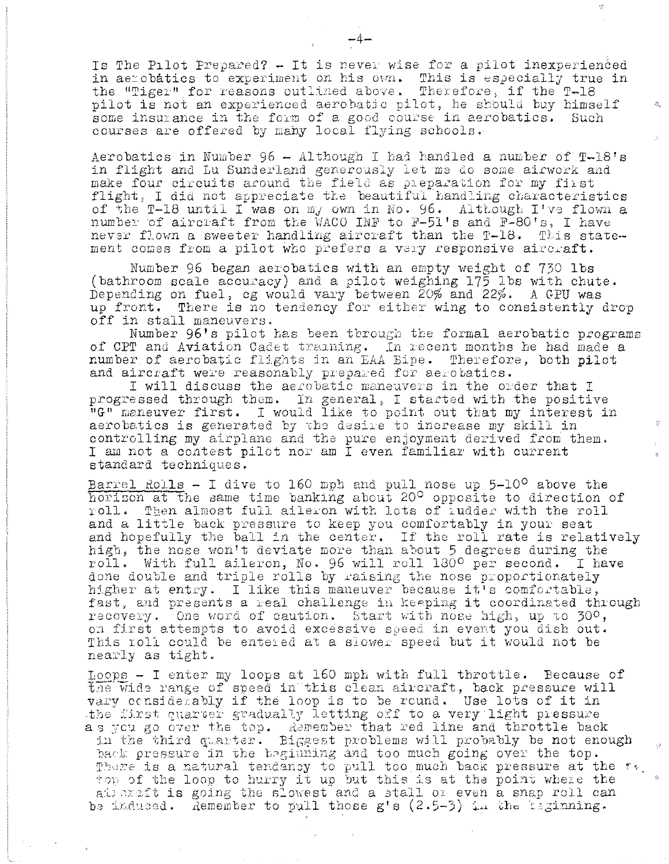Is The Pilot Prepared? - It is never wise for a pilot inexperienced in aerobatics to experiment on his own. This is especially true in the "Tiger" for reasons outlined above. Therefore, if the T-18 pilot is not an experienced aerobatic pilot, he should buy himself some insurance in the form of a good course in aerobatics. Such courses are offered by many local flying schools.

Aerobatics in Number 96 - Although I had handled a number of T-18's in flight and Lu Sunderland generously let me do some airwork and make four circuits around the field as preparation for my first flight, I did not appreciate the beautiful handling characteristics of the T-18 until I was on my own in No. 96. Although I've flown a number of aircraft from the WACO INF to F-51's and F-80's, I have never flown a sweeter handling aircraft than the T-18. This statement comes from a pilot who prefers a very responsive aircraft.

Number 96 began aerobatics with an empty weight of 730 lbs (bathroom scale accuracy) and a pilot weighing 175 lbs with chute. Depending on fuel, cg would vary between 20% and 22%. A GPU was up front. There is no tendency for either wing to consistently drop off in stall maneuvers.

Number  $96'$ s pilot has been through the formal aerobatic programs of CPT and Aviation Cadet training. In recent months he had made a number of aerobatic flights in an EAA Bipe. Therefore, both pilot and aircraft were reasonably prepared for aerobatics.

I will discuss the aerobatic maneuvers in the order that I progressed through them. In general, I started with the positive "G" maneuver first. I would like to point out that my interest in aerobatics is generated by the desire to increase my skill in controlling my airplane and the pure enjoyment derived from them. I am not a contest pilot nor am I even familiar with current standard techniques.

<u>Barrel Rolls</u> - I dive to 160 mph and pull nose up  $5-10^{\circ}$  above the horizon at the same time banking about 20<sup>0</sup> opposite to direction of roll. Then almost full aileron with lots of rudder with the roll and a little back pressure to keep you comfortably in your seat and hopefully the ball in the center. If the roll rate is relatively high, the nose won't deviate more than about 5 degrees during the roll. With full aileron, No. 96 will roll 180° per second. I have done double and triple rolls by raising the nose proportionately higher at entry. I like this maneuver because it's comfortable, fast, and presents a real challenge in keeping it coordinated through recovery. One word of caution. Start with nose high, up to 30°, on first attempts to avoid excessive speed in event you dish out. This roll could be entered at a slower speed but it would not be nearly as tight.

Loops - I enter my loops at 160 mph with full throttle. Because of the wide range of speed in this clean aircraft, back pressure will vary considerably if the loop is to be round. Use lots of it in the first quarter gradually letting off to a very light pressure as you go over the top. Remember that red line and throttle back in the third quarter. Biggest problems will probably be not enough back pressure in the beginning and too much going over the top. There is a matural tendancy to pull too much back pressure at the  $\mathfrak{r}_{\mathfrak{s}}$ . top of the loop to hurry it up but this is at the point where the aircraft is going the slowest and a stall or even a snap roll can be induced. Remember to pull those g's (2.5-3) in the isginning.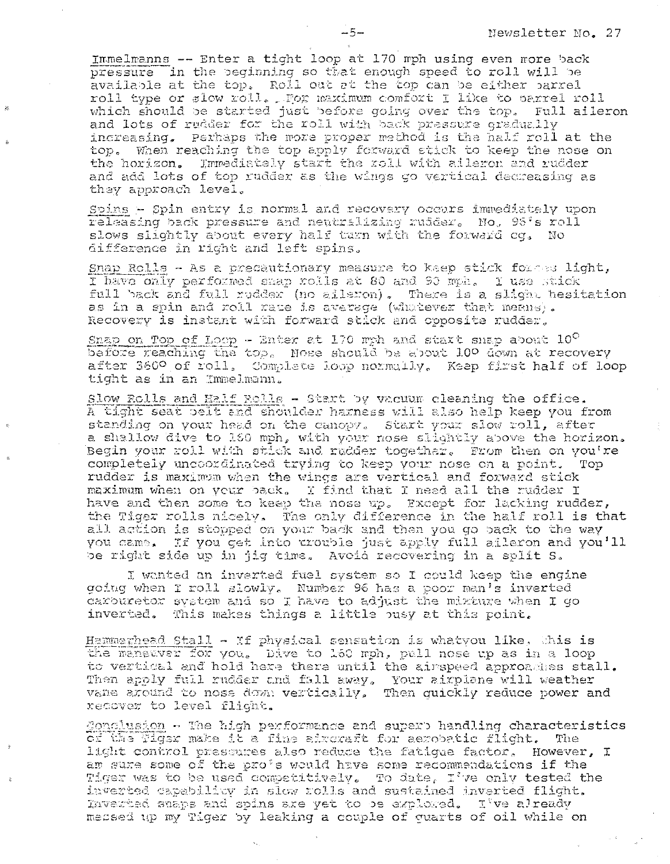Immelmanns -- Enter a tight loop at 170 mph using even more back pressure in the beginning so that enough speed to roll will be available at the top. Roll out at the top can be either parrel roll type or slow roll. For maximum comfort I like to parrel roll which should be started just before going over the top. Full aileron and lots of rudder for the roll with back pressure gradually increasing. Perhaps the more proper method is the half roll at the top. When reaching the top apply forward stick to keep the nose on the horizon. Immediately start the roll with aileron and rudder and add lots of top rudder as the wings go vertical decreasing as they approach level.

Spins - Spin entry is normal and recovery occurs immediately upon releasing back pressure and neutralizing rudder. No. 95's roll slows slightly about every half turn with the forward cg. No difference in right and left spins.

Snap Rolls - As a precautionary measure to keep stick formed light, I have only performed snap rolls at 80 and 90 mph. I use stick full back and full rudder (no aileron). There is a slight hesitation as in a spin and roll rate is average (whatever that means). Recovery is instant with forward stick and opposite rudder,

Shap on Top of Loop - Enter at 170 mph and start shap about  $10^{\circ}$ before reaching the top. Nose should be about 10º down at recovery after 3600 of roll. Complete loop normally. Keep first half of loop tight as in an Immelmann.

Slow Rolls and Ealf Rolls - Start by vacuum cleaning the office. A tight seat belt and shoulder harness will also help keep you from standing on your head on the canopy. Start your slow roll, after a shallow dive to 160 mph, with your nose slightly above the horizon. Begin your roll with stick and rudder together. From then on you're completely uncoordinated trying to keep your nose on a point. Top rudder is maximum when the wings are vertical and forward stick maximum when on your back. I find that I need all the rudder I have and then some to keep the nose up. Except for lacking rudder, the Tiger rolls nicely. The only difference in the half roll is that all action is stopped on your back and then you go back to the way you came. If you get into trouble just apply full aileron and you'll be right side up in jig time. Avoid recovering in a split S.

I wonted an inverted fuel system so I could keep the engine going when I roll slowly. Number 96 has a poor man's inverted carouretor system and so I have to adjust the mirture when I go inverted. This makes things a little ousy at this point.

Hammerhead Stall - If physical sensation is whatyou like, this is the manauver for you. Dive to 160 mph, pull nose up as in a loop to vertical and hold here there until the airspeed approaches stall. Then apply full rudder and fall away. Your airplane will weather vane around to nose down vertically, Then quickly reduce power and recover to level flight.

Conclusion - The high performance and superb handling characteristics of the Tiger make it a fine aircraft for aerobatic flight. The light control pressures also reduce the fatique factor. However, I am sure some of the pro's would have some recommendations if the Tiger was to be used competitively. To date, I've only tested the inverted capability in slow rolls and sustained inverted flight. Inverted shaps and spins are yet to be explored. I've already messed up my Tiger by leaking a couple of guarts of oil while on

 $-5-$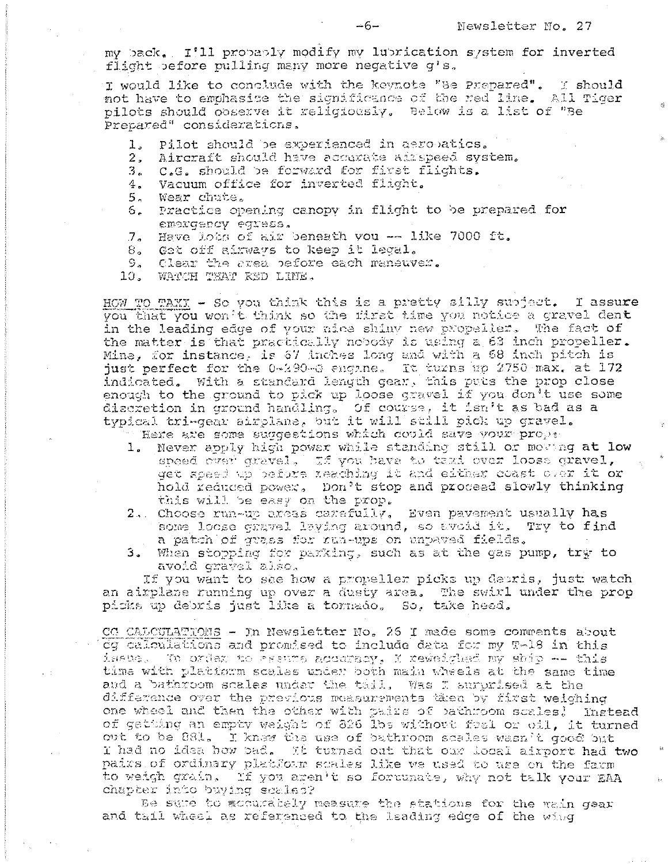my back. I'll probably modify my lubrication system for inverted flight before pulling many more negative g's.

I would like to conclude with the keynote "Be Prepared". I should not have to emphasise the significance of the red line. All Tiger pilots should coserve it religiously. Below is a list of "Be Prepared" considerations.

- Pilot should be experienced in aeropatics. 1.
- 2. Aircraft should have accurate airspeed system.
- 3. C.G. should be forward for first flights.
- Vacuum office for inverted flight. 4.
- $5<sub>o</sub>$ Wear chute.
- Practice opening canopy in flight to be prepared for  $5$ emproency eqrass.
- Have lots of air beneath you -- like 7000 ft.  $7<sub>1</sub>$
- Get off airways to keep it legal.  $8_{\circ}$
- $S_{\infty}$ Clear the area before each maneuver.
- WATCH THAT RED LINE. 10. .

HOW TO TAXX - So you think this is a pretty silly subject. I assure you that you won't think so the first time you notice a gravel dent in the leading edge of your nice shiny new propeller. The fact of the matter is that practically nobody is using a 63 inch propeller. Mine, for instance, is 67 inches long and with a 68 inch pitch is just perfect for the 0-290-6 engine. It turns up 2750 max. at 172 indicated. With a standard length gear, this puts the prop close enough to the ground to pick up loose gravel if you don't use some discretion in ground handling, Of course, it isn't as bad as a typical tri-gear airplane, but it will still pick up gravel.

Here are some suggestions which could save your prope

- 1. Never apply high power while standing still or moving at low speed over gravel. If you have to taxi over loose qravel. get speed up before reaching it and either coast over it or hold reduced power. Don't stop and proceed slowly thinking this will be easy on the prop.
- 2. Choose run-up areas carafully, Even pavement usually has some loose gravel laving around, so avoid it. Try to find a patch of grass for run-ups on unpaved fields.
- When stopping for parking, such as at the gas pump, try to  $3.1$ avoid gravel also.

If you want to see how a propeller picks up depris, just watch an airplane running up over a dusty area. The swirl under the prop picks up debris just like a tornado. So, take heed.

CO CALCULATIONS - In Newsletter No. 26 I made some comments about og calculations and promised to include data for my T-18 in this issue. To order to assure accuracy, X reweighed my ship -- this time with platform scales under both main wheels at the same time and a bathroom scales under the tail, Was I surprised at the difference over the previous measurements then by first weiching one wheel and then the other with pairs of pathroom scales! Instead of getting an empty weight of 326 lbs without fusl or oil, it turned out to be 881. I knew the use of bathroom scales wasn't good but I had no idea how bad. It turned out that our local airport had two pairs of ordinary platform scales like we used to use on the farm to weigh grain. If you aren't so fortunate, why not talk your EAA chapter into buying scales?

Be sure to accurately measure the stations for the wain gear and tail wheel as referenced to the leading edge of the wing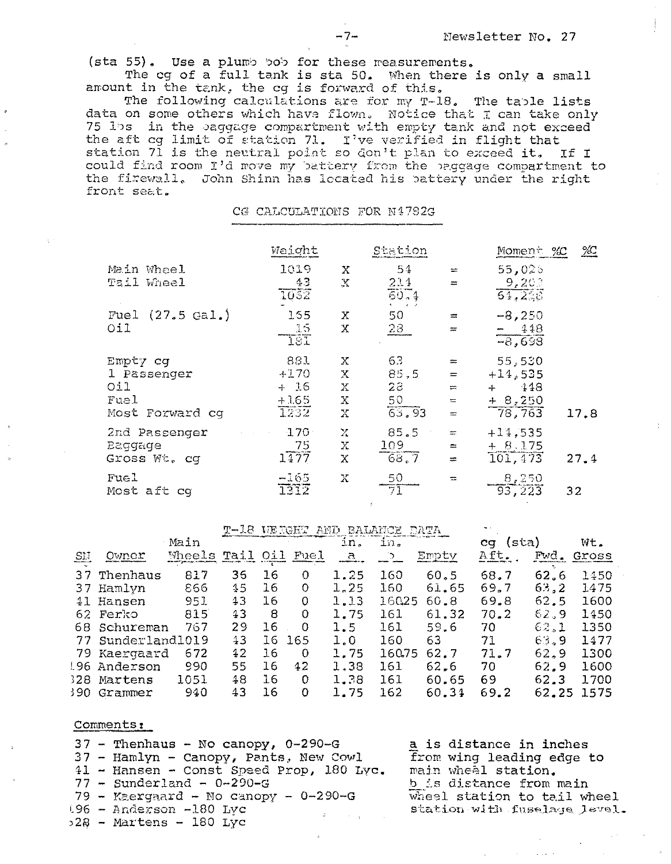(sta 55). Use a plumb bob for these measurements.

The cg of a full tank is sta 50. When there is only a small amount in the tank, the cq is forward of this.

The following calculations are for my T-18. The table lists data on some others which have flown. Notice that I can take only 75 lbs in the baggage compartment with empty tank and not exceed the aft cg limit of station 71. I've verified in flight that station 71 is the neutral point so don't plan to exceed it. If I could find room I'd move my battery from the baggage compartment to the firewall. John Shinn has located his battery under the right front seat.

## CG CALCULATIONS FOR N4782G

|                    | Weight  |                     | Station |                   | Moment %C           | $2C_2$ |
|--------------------|---------|---------------------|---------|-------------------|---------------------|--------|
| Main Wheel         | 1019    | X                   | 54      | $=$               | 55,025              |        |
| Tail Wheel         | 43      | $\mathbf{y}$        | 214     | $=$               | 9,203               |        |
|                    | 1032    |                     | 50.4    |                   | $\overline{64,2.8}$ |        |
| Fuel $(27.5$ Gal.) | 155     | Х                   | 50      | $\equiv$          | $-8,250$            |        |
| O11                | 15      | $\mathbf x$         | 23      | $\equiv$          | $-448$              |        |
|                    | 181     |                     |         |                   | $-8,698$            |        |
| Empty cg           | 881     | Х                   | 63      | $\frac{1}{2}$     | 55,530              |        |
| 1 Passenger        | $+170$  | Х                   | 85,5    | $=$               | $+14,535$           |        |
| O11                | $+ 15$  | X                   | 28      | $\mathop{\rm sm}$ | 448<br>$+$          |        |
| Fuel               | $+1.65$ | $\mathbf x$         | 50      | $\equiv$          | $+8,250$            |        |
| Most Forward cg    | T232    | $\boldsymbol{\chi}$ | 63.93   | $\equiv$          | 78,763              | 17.8   |
| 2nd Passenger      | $170 -$ | $\mathbf{X}$        | 85.5    | ш.                | $+14,535$           |        |
| <b>Ezggage</b>     | 75      | X.                  | 109     | $\equiv$          | $+ 8.175$           |        |
| Gross Wt. cg       | 1177    | X                   | 68.7    | $=$               | 101, 473            | 27.4   |
| Fuel               | $-165$  | Х                   | 50      | $=$               | 8,250               |        |
| Most aft cg        | 1312    |                     | 71      |                   | $\overline{93,223}$ | 32     |
|                    |         |                     |         |                   |                     |        |

|                        |                |        | T-18 WEIGHT AND BALANCE DATA |      |                |              |        |       |             |       |       |
|------------------------|----------------|--------|------------------------------|------|----------------|--------------|--------|-------|-------------|-------|-------|
|                        |                | Main   |                              |      |                | in.          | in.    |       | (sta)<br>ca |       | Wt.   |
| $\overline{\text{SM}}$ | Owner          | Wheels | Tail                         | 0.71 | Fuel           | $\mathbf{E}$ |        | Empty | Aft.        | Fwd.  | Gross |
|                        | 37 Thenhaus    | 817    | 36                           | 16   | $\circ$        | 1.25         | 160    | 60, 5 | 68.7        | 62.6  | 1450  |
|                        | 37 Hamlyn      | 866    | 15                           | 16   | $\circ$        | 1,25         | 160    | 61.65 | 69.7        | 63, 2 | 1475  |
|                        | 41 Hansen      | 951    | 43                           | 16   | $\circ$        | 1.13         | 16025  | 60.8  | 69.8        | 62.5  | 1600  |
|                        | 62 Ferko       | 815    | 43                           | 8    | 0              | 1.75         | 161    | 61.32 | 70.2        | 62.9  | 1450  |
|                        | 68 Schureman   | 767    | 29                           | 16   | 0              | 1.5          | 161    | 59.6  | 70          | 62.1  | 1350  |
| 77                     | Sunderland1019 |        | 43                           | 16   | 165            | 1.0          | 160    | 63    | 71          | 63.9  | 1477  |
|                        | 79 Kaergaard   | 672    | $42 \,$                      | 16   | $\overline{O}$ | 1.75         | 160.75 | 62.7  | 71.7        | 62.9  | 1300  |
|                        | 196 Anderson   | 990    | 55                           | 16   | 42             | 1.38         | 161    | 62,6  | 70.         | 62.9  | 1600  |
| 328                    | Martens        | 1051   | 48                           | 16   | $\mathbf 0$    | 1.38         | 161    | 60.65 | 69          | 62.3  | 1700  |
| 390.                   | Grammer        | 940    | 43                           | 16   | $\overline{O}$ | 1.75         | 162    | 60.34 | 69.2        | 62.25 | 1575  |

## Comments:

a is distance in inches  $37$  - Thenhaus - No canopy, 0-290-G 37 - Hamlyn - Canopy, Pants, New Cowl from wing leading edge to 41 - Hansen - Const Speed Prop, 180 Lyc. main wheel station.  $77 -$  Sunderland -  $0 - 290 - G$ b is distance from main  $79$  - Kaergaard - No canopy - 0-290-G wheel station to tail wheel 196 - Anderson -180 Lyc station with fuselage level. 328 - Martens - 180 Lyc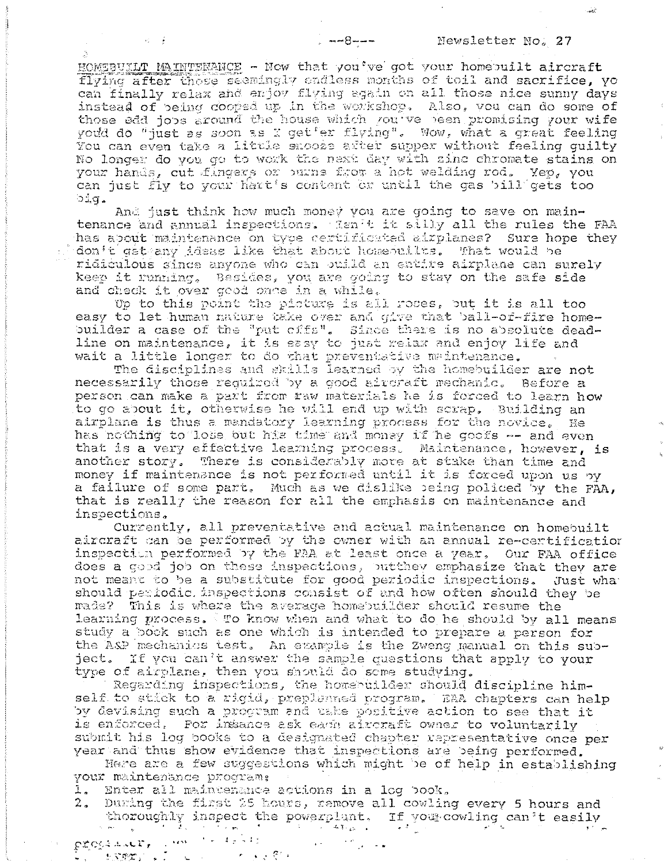HOMEBUILT MAINTENANCE - Now that you've got your homebuilt aircraft flying after those seemingly endless months of toil and sacrifice. yo can finally relax and enjoy flying again on all those nice sunny days instead of being cooped up in the workshop. Also, you can do some of those edd jobs around the house which you've been promising your wife youd do "just as soon as I get er flying". Wow, what a great feeling You can even take a little shooze after supper without feeling quilty No longer do you go to work the next day with zinc chromate stains on your hands, out fingers or purns from a hot welding rod. Yep, you can just fly to your hart's content or until the gas bill gets too big.

. --8---

And just think how much money you are going to save on maintenance and annual inspections. Ten't it silly all the rules the FAA has about maintenance on type certificated airplanes? Sure hope they don't get any ideas like that about homeouilts. That would be ridiculous since anyone who can ouild an entire airplane can surely keep it running. Besides, you are going to stay on the safe side and check it over good once in a while.

Up to this point the picture is all roses, but it is all too easy to let human nature take over and give that ball-of-fire homebuilder a case of the "put cfffs". Since there is no absolute deadline on maintenance, it is easy to just relax and enjoy life and wait a little longer to do that preventative meintenance.

The disciplines and skills learned by the homebuilder are not necessarily those required by a good aircraft mechanic. Before a person can make a part from taw materials he is forced to learn how to go about it, otherwise he will end up with scrap, Building an airplane is thus a mandatory learning process for the novice. He has nothing to lose but his time and money if he goofs -- and even that is a very effective learning process. Maintenance, however, is another story. There is considerably more at stake than time and money if maintenance is not performed until it is forced upon us by a failure of some part. Much as we dislike being policed by the FAA, that is really the reason for all the emphasis on maintenance and inspections.

Currently, all preventative and actual maintenance on homebuilt aircraft can be performed by the owner with an annual re-certification inspection performed by the FAA at least once a year, Our FAA office does a good job on these inspections, butthey emphasize that they are not meant to be a substitute for good periodic inspections. Just what should periodic inspections consist of and how often should they be made? This is where the average homebuilder should resume the learning process. To know when and what to do he should by all means study a book such as one which is intended to prepare a person for the ASP mechanics test. An example is the Zweng manual on this subject. If you can't answer the sample questions that apply to your type of airplane, then you should do some studying.

Regarding inspections, the homeouilder should discipline himself to stick to a rigid, preplanned program. TAA chapters can help by devising such a program and uske positive action to see that it is enforced. For insance ask each aircraft owner to voluntarily submit his log books to a designated chapter rapresentative once per year and thus show evidence that inspections are being performed.

Here are a few suggestions which might be of help in establishing your maintenance program:

- 1. Enter all maintenance actions in a log book,
- thoroughly inspect the powerplant. If you cowling can't easily the powerplant. If you cowling can't easily During the first 25 hours, remove all cowling every 5 hours and

大家交费区  $\mathbb{E}[X,\mathcal{B}(\mathcal{I}^{\circ})] \rightarrow \mathbb{Z}$  .

 $\mathcal{H}=\frac{1}{2}$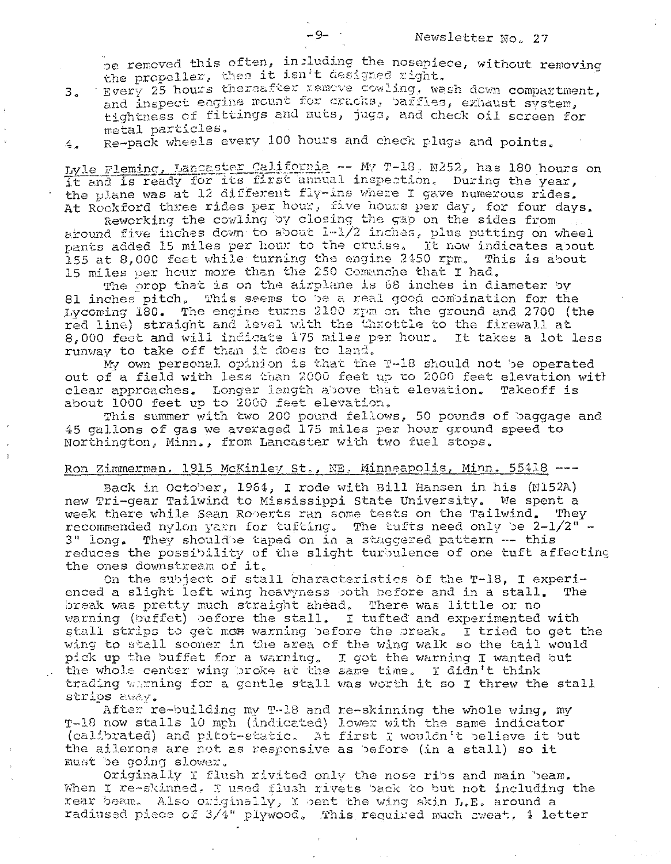be removed this often, including the nosepiece, without removing the propeller, then it isn't designed right.<br>Every 25 hours thereafter remove cowling, wash down compartment,

 $3.4$ and inspect engine mount for cracks, barfies, exhaust system, tightness of fittings and muts, jugs, and check oil screen for metal particles.

 $-9-$ 

Re-pack wheels every 100 hours and check plugs and points.  $4.1$ 

Lyle Fleming, Lancaster California -- MV T-18, N252, has 180 hours on it and is ready for its first annual inspection. During the year, the plane was at 12 different fly-ins where I gave numerous rides. At Rockford three rides per hour, five hours per day, for four days.

Reworking the cowling by closing the gap on the sides from around five inches down to about 1-1/2 inches, plus putting on wheel pants added 15 miles per hour to the cruise. It now indicates about 155 at 8,000 feet while turning the engine 2450 rpm. This is about 15 miles per hour more than the 250 Comanche that I had.

The prop that is on the airplane is 68 inches in diameter by 81 inches pitch, This seems to be a real good combination for the Lycoming 180. The engine turns 2100 xpm on the ground and 2700 (the red line) straight and level with the throttle to the firewall at 8,000 feet and will indicate 175 miles per hour. It takes a lot less runway to take off than it does to land.

My own personal opinion is that the T-18 should not be operated out of a field with less than 2000 feet up to 2000 feet elevation with clear approaches. Longer length above that elevation. Takeoff is about 1000 feet up to 2000 feet elevation.

This summer with two 200 pound fellows, 50 pounds of baggage and 45 gallons of gas we averaged 175 miles per hour ground speed to Northington, Minn., from Lancaster with two fuel stops.

## Ron Zimmerman, 1915 McKinley St., NE, Minneapolis, Minn. 55418 ---

Back in October, 1964, I rode with Bill Hansen in his (N152A) new Tri-gear Tailwind to Mississippi State University. We spent a week there while Sean Roberts ran some tests on the Tailwind. They recommended nylon yarn for tufting. The tufts need only be  $2-1/2$ " -3" long. They should'be taped on in a staggered pattern -- this reduces the possibility of the slight turbulence of one tuft affecting the ones downstream of it.

On the subject of stall characteristics of the T-18, I experienced a slight left wing heavyness both before and in a stall. The break was pretty much straight ahead, There was little or no warning (buffet) before the stall. I tufted and experimented with stall strips to get mose warning before the break, I tried to get the wing to stall sooner in the area of the wing walk so the tail would pick up the buffet for a warning. I got the warning I wanted but the whole center wing broke at the same time. I didn't think trading warning for a gentle stall was worth it so I threw the stall strips away.

After re-building my T-18 and re-skinning the whole wing, my T-18 now stalls 10 mph (indicated) lower with the same indicator (calibrated) and pitot-static. At first I wouldn't believe it but the ailerons are not as responsive as before (in a stall) so it must be going slower.

Originally I flush rivited only the nose ribs and main beam. When I re-skinned, I used flush rivets back to but not including the rear beam. Also originally, I bent the wing skin L.E. around a radiused piece of 3/4" plywood. This required much sweat, 4 letter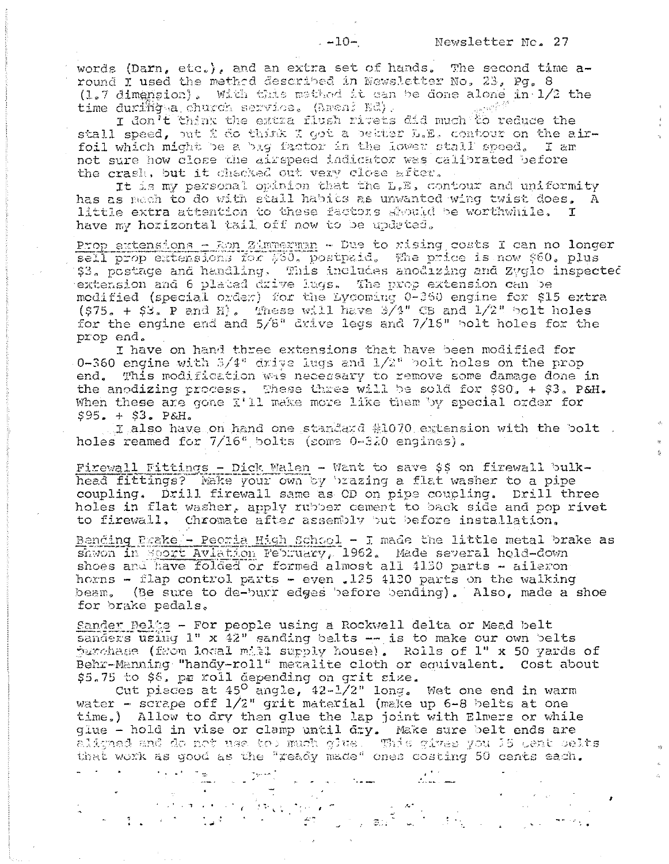words (Darn, etc.), and an extra set of hands. The second time around I used the method described in Newsletter No. 23, Pq. 8 (1.7 dimension). With this method it can be done alone in 1/2 the time durifiq a church service. (Areni Ed).

I don<sup>7</sup>t think the extra flush rivets did much to reduce the stall speed, out i do think I got a better L.E. contour on the airfoil which might be a big factor in the lower stall speed. I am not sure how close the airspeed indicator was calibrated before the crash, but it chacked out very close after.

It is my personal opinion that the L.E, contour and uniformity has as mech to do with stall habits as unwanted wing twist does, A little extra attention to these factors ground be worthwhile.  $\mathbf{T}$ have my horizontal tail off now to be updated.

Prop extensions - Ron Zimmerman - Due to rising costs I can no longer sell prop extensions for 530, postpaid. The price is now 860. plus<br>\$3. postage and handling. This includes anodizing and Zyglo inspected extension and 6 placed drive lugs. The prop extension can be modified (special order) for the Lycoming 0-360 engine for \$15 extra  $(S75. + S3. P and E)$ . These will have 3/4" CB and 1/2" bolt holes for the engine end and 5/8" drive legs and 7/15" bolt holes for the prop end.

I have on hand three extensions that have been modified for 0-360 engine with  $3/4$ " drive lugs and  $1/2$ " bolt holes on the prop end. This modification was necessary to remove some damage done in the anodizing process. These three will be sold for \$80. + \$3. P&H. When these are gone  $I'11$  make more like them by special order for  $$95. + $3.$  P&H.

I also have on hand one standard #1070 extension with the bolt. holes reamed for  $7/16^{\circ}$  bolts (some  $0-320$  engines).

Firewall Fittings - Dick Walen - Want to save \$\$ on firewall bulkhead fittings? Make your own by brazing a flat washer to a pipe coupling. Drill firewall same as OD on pipe coupling. Drill three holes in flat washer, apply rubber cement to back side and pop rivet Chromate after assembly but before installation. to firewall.

Bending Paske - Peoria High School - I made the little metal brake as shwon in Sport Aviation February, 1962. Made several hold-down shoes and have folded or formed almost all 4130 parts - aileron horns - flap control parts - even .125 4120 parts on the walking beam. (Be sure to de-burr edges before bending). Also, made a shoe for brake pedals.

Sander Belts - For people using a Rockwell delta or Mead belt sanders  $\overline{using}$  1" x  $42"$  sanding belts  $-$  is to make our own belts jurchase (from local mill supply house). Rolls of 1" x 50 yards of Behr-Manning "handy-roll" metalite cloth or equivalent. Cost about \$5.75 to \$6, pr roll depending on grit size.

Cut pieces at  $45^\circ$  angle,  $42-1/2$ " long. Wet one end in warm water - scrape off  $1/2$ " grit material (make up 6-8 belts at one time.) Allow to dry then glue the lap joint with Elmers or while glue - hold in vise or clamp until dry. Make sure belt ends are aligned and do not use too much glue. This gives you 15 cent belts that work as good as the "ready made" ones costing 50 cents each.

a sa mga kalawatan ng mga kalawang kalawang kalawang kalawang kalawang kalawang kalawang kalawang kalawang kal<br>Kalawang kalawang kalawang kalawang kalawang kalawang kalawang kalawang kalawang kalawang kalawang kalawang ka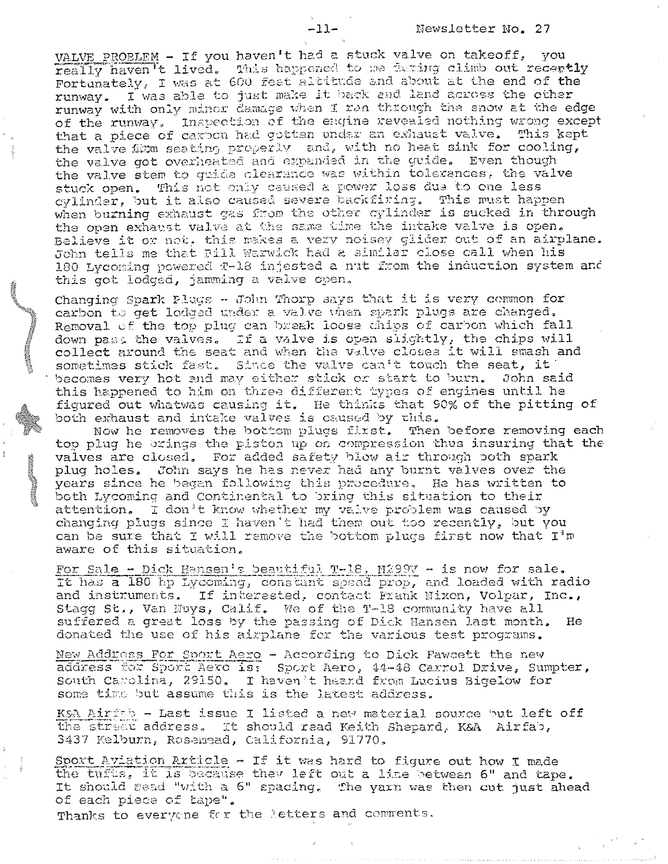VALVE PROBLEM - If you haven't had a stuck valve on takeoff, you really haven't lived. This happened to me during climb out recently Fortunately, I was at 600 feet altitude and about at the end of the runway. I was able to just make it back and land across the other runway with only minor damage when I ran through the snow at the edge of the runway. Inspection of the engine revealed nothing wrong except that a piece of carbon had gotten under an exhaust valve. This kept the valve firm seating properly and, with no heat sink for cooling, the valve got overheated and expanded in the guide. Even though the valve stem to quide clearance was within tolerances. the valve stuck open. This not only caused a power loss due to one less cylinder, but it also caused severe backfiring. This must happen<br>when burning exhaust gas from the other cylinder is sucked in through the open exhaust valve at the same time the intake valve is open. Believe it or not, this makes a very noisey glider out of an airplane. John tells me that Pill Warwick had a similar close call when his 180 Lycoming powered T-18 injested a nut from the induction system and this got lodged, jamming a valve open.

Changing Spark Plugs - John Thorp says that it is very common for carbon to get lodged under a valve vhen spark plugs are changed. Removal of the top plug can break loose chips of carbon which fall down past the valves. If a valve is open slightly, the chips will collect around the seat and when the valve closes it will smash and sometimes stick fast. Since the valve can't touch the seat, it becomes very hot and may either stick or start to burn. John said this happened to him on three different types of engines until he figured out whatwas causing it. He thinks that 90% of the pitting of both exhaust and intake valves is caused by this.

Now he removes the bottom plugs first. Then before removing each top plug he brings the piston up on compression thus insuring that the valves are closed, For added safety blow air through both spark plug holes. John says he has never had any burnt valves over the years since he began following this procedure. He has written to both Lycoming and Continental to bring this situation to their attention. I don't know whether my valve problem was caused by changing plugs since I haven't had them out too recently, but you can be sure that I will remove the bottom plugs first now that I'm aware of this situation.

For Sale - Dick Hansen's beautiful T-18, M299V - is now for sale. It has a 180 hp Lycoming, constant speed prop, and loaded with radio and instruments. If interested, contact Frank Nixon, Volpar, Inc., Stagg St., Van Nuys, Calif. We of the T-18 community have all suffered a great loss by the passing of Dick Hansen last month. He donated the use of his airplane for the various test programs.

New Address For Sport Aero - According to Dick Fawcett the new<br>address for Sport Aero is: Sport Aero, 44-48 Carrol Drive, Sumpter,<br>South Carolina, 29150, I haven't heard from Lucius Bigelow for some time but assume this is the latest address.

KSA Airfab - Last issue I listed a new material source but left off the street address. It should read Keith Shepard, K&A Airfab, 3437 Kelburn, Rosemead, California, 91770.

Sport Aviation Article - If it was hard to figure out how I made the tufts, it is because they left out a line between 6" and tape. It should sead "with a 6" spacing. The yarn was then cut just ahead of each piece of tape".

Thanks to everyone for the letters and comments.